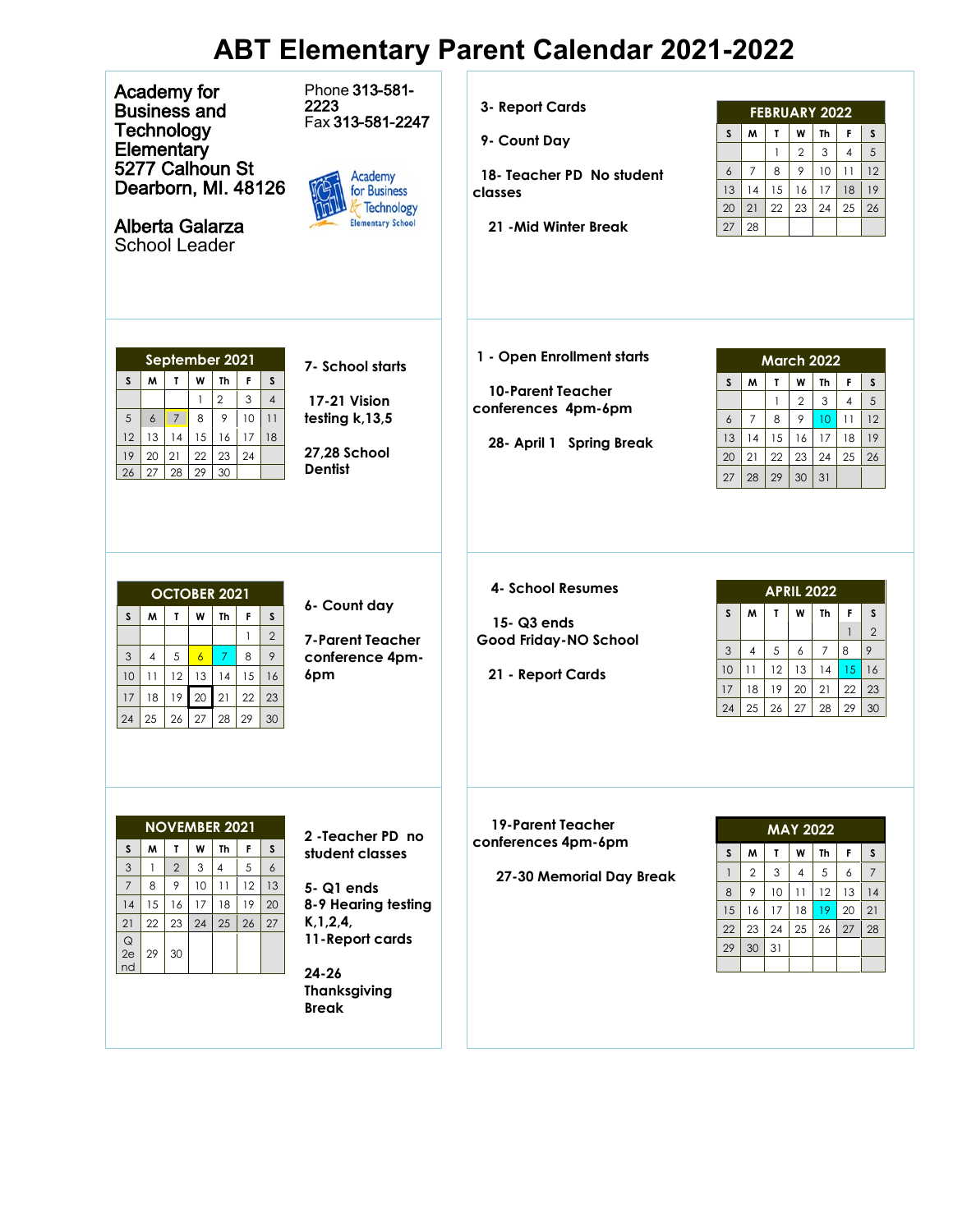## **ABT Elementary Parent Calendar 2021-2022**

| Academy for<br><b>Business and</b><br>Technology<br>Elementary<br>5277 Calhoun St<br>Dearborn, MI. 48126<br><b>Alberta Galarza</b><br><b>School Leader</b>                                                                                                                                                                           | Phone 313-581-<br>2223<br>Fax 313-581-2247<br>Academy<br>for Business<br><b>Technology</b><br><b>Elementary School</b>                                         | 3- Report Cards<br>9- Count Day<br>18- Teacher PD No student<br>classes<br>21 - Mid Winter Break          | <b>FEBRUARY 2022</b><br>$\mathbf{T}$<br>W<br>M<br>Th<br>F<br>S.<br>S<br>$\overline{2}$<br>$\overline{4}$<br>$\mathfrak{Z}$<br>5<br>$\mathbf{1}$<br>9<br>$\overline{7}$<br>8<br>10<br>11<br>12<br>$\epsilon$<br>14<br>15<br>18<br>13<br>16<br>17<br>19<br>22<br>21<br>25<br>20<br>23<br>24<br>26<br>28<br>27              |
|--------------------------------------------------------------------------------------------------------------------------------------------------------------------------------------------------------------------------------------------------------------------------------------------------------------------------------------|----------------------------------------------------------------------------------------------------------------------------------------------------------------|-----------------------------------------------------------------------------------------------------------|--------------------------------------------------------------------------------------------------------------------------------------------------------------------------------------------------------------------------------------------------------------------------------------------------------------------------|
| September 2021<br>$\mathbf{r}$<br>W<br>Th<br>F<br>$\mathsf S$<br>S<br>M<br>$\overline{c}$<br>3<br>$\overline{4}$<br>$\mathbf{1}$<br>$\mathcal{P}$<br>$\,8\,$<br>$\overline{7}$<br>10<br>5<br>11<br>6<br>14<br>15<br>16<br>13<br>17<br>18<br>12<br>23<br>22<br>24<br>19<br>20<br>21<br>28<br>29<br>30<br>26<br>27                     | 7- School starts<br>17-21 Vision<br>testing k, 13,5<br><b>27,28 School</b><br><b>Dentist</b>                                                                   | 1 - Open Enrollment starts<br><b>10-Parent Teacher</b><br>conferences 4pm-6pm<br>28- April 1 Spring Break | <b>March 2022</b><br>$\mathbf T$<br>W<br>M<br>Th<br>F<br>S<br>S.<br>$\overline{2}$<br>3<br>5<br>$\overline{4}$<br>$\mathbf{1}$<br>8<br>9<br>$\overline{7}$<br>10 <sup>°</sup><br>11<br>12<br>6<br>15<br>18<br>13<br>14<br>16<br>17<br>19<br>21<br>22<br>20<br>23<br>25<br>24<br>26<br>28<br>29<br>30<br>27<br>31         |
| <b>OCTOBER 2021</b><br>W<br>S<br>M<br>$\mathbf{L}$<br>Th<br>F.<br>$\mathsf{s}$<br>$\mathbf{1}$<br>$\mathbf{2}$<br>$\boldsymbol{7}$<br>5<br>8<br>9<br>$\overline{6}$<br>3<br>$\overline{4}$<br>12<br>13<br>14<br>15<br>16<br>10<br>11<br>22<br>21<br>19<br>$20\,$<br>23<br>17<br>18<br>29<br>25<br>27<br>24<br>26<br>28<br>30         | 6- Count day<br><b>7-Parent Teacher</b><br>conference 4pm-<br>6pm                                                                                              | 4- School Resumes<br>15-Q3 ends<br>Good Friday-NO School<br>21 - Report Cards                             | <b>APRIL 2022</b><br>W<br>$\mathbf{T}$<br>M<br>Th<br>F<br>S.<br>S<br>$\overline{2}$<br>$\mathbf{1}$<br>5<br>9<br>$\overline{4}$<br>3<br>6<br>$\overline{7}$<br>8<br>12<br>10 <sup>°</sup><br>11<br>13<br>14<br>15<br>16<br>17<br>18<br>19<br>20<br>21<br>22<br>23<br>25<br>27<br>24<br>26<br>28<br>29<br>30 <sup>°</sup> |
| <b>NOVEMBER 2021</b><br>W<br>s<br>M<br>$\mathbf{r}$<br>Th<br>F.<br>S<br>$\overline{2}$<br>3<br>$\overline{4}$<br>5<br>$\epsilon$<br>3<br>$\mathbf{1}$<br>9<br>$\overline{7}$<br>8<br>10<br>11<br>12<br>13<br>15<br>16<br>17<br>18<br>19<br>14<br>20<br>23<br>24<br>25<br>26<br>21<br>22<br>27<br>$\mathsf Q$<br>2e<br>29<br>30<br>nd | 2 - Teacher PD no<br>student classes<br>5-Q1 ends<br>8-9 Hearing testing<br>K, 1, 2, 4,<br>11-Report cards<br>$24 - 26$<br><b>Thanksgiving</b><br><b>Break</b> | <b>19-Parent Teacher</b><br>conferences 4pm-6pm<br>27-30 Memorial Day Break                               | <b>MAY 2022</b><br>M<br>W<br>F<br>S.<br>$\mathbf{I}$<br>S<br>Th<br>3<br>5<br>6<br>$\overline{2}$<br>$\overline{7}$<br>$\mathbf{1}$<br>$\overline{4}$<br>12<br>13<br>8<br>9<br>10 <sup>°</sup><br>14<br>11<br>15<br>20<br>21<br>16<br>17<br>18<br>19<br>24<br>27<br>22<br>23<br>25<br>26<br>28<br>29<br>31<br>30          |